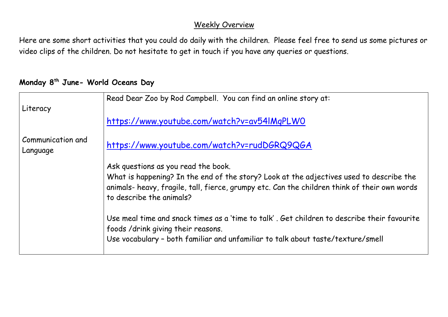## Weekly Overview

Here are some short activities that you could do daily with the children. Please feel free to send us some pictures or video clips of the children. Do not hesitate to get in touch if you have any queries or questions.

## **Monday 8th June- World Oceans Day**

|                               | Read Dear Zoo by Rod Campbell. You can find an online story at:                                                                                                                                                     |
|-------------------------------|---------------------------------------------------------------------------------------------------------------------------------------------------------------------------------------------------------------------|
| Literacy                      |                                                                                                                                                                                                                     |
|                               | https://www.youtube.com/watch?v=av54IMqPLWO                                                                                                                                                                         |
| Communication and<br>Language | https://www.youtube.com/watch?v=rudDGRQ9QGA                                                                                                                                                                         |
|                               | Ask questions as you read the book.                                                                                                                                                                                 |
|                               | What is happening? In the end of the story? Look at the adjectives used to describe the<br>animals- heavy, fragile, tall, fierce, grumpy etc. Can the children think of their own words<br>to describe the animals? |
|                               | Use meal time and snack times as a 'time to talk'. Get children to describe their favourite<br>foods /drink giving their reasons.                                                                                   |
|                               | Use vocabulary - both familiar and unfamiliar to talk about taste/texture/smell                                                                                                                                     |
|                               |                                                                                                                                                                                                                     |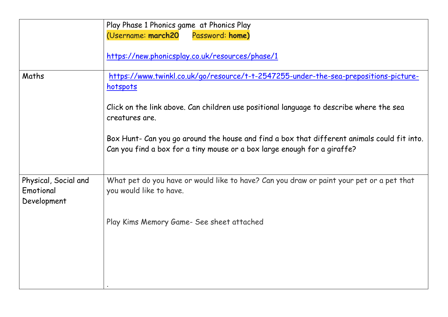|                                                  | Play Phase 1 Phonics game at Phonics Play                                                                                                                               |
|--------------------------------------------------|-------------------------------------------------------------------------------------------------------------------------------------------------------------------------|
|                                                  | (Username: march20<br>Password: home)                                                                                                                                   |
|                                                  | https://new.phonicsplay.co.uk/resources/phase/1                                                                                                                         |
| Maths                                            | https://www.twinkl.co.uk/go/resource/t-t-2547255-under-the-sea-prepositions-picture-<br>hotspots                                                                        |
|                                                  | Click on the link above. Can children use positional language to describe where the sea<br>creatures are.                                                               |
|                                                  | Box Hunt- Can you go around the house and find a box that different animals could fit into.<br>Can you find a box for a tiny mouse or a box large enough for a giraffe? |
| Physical, Social and<br>Emotional<br>Development | What pet do you have or would like to have? Can you draw or paint your pet or a pet that<br>you would like to have.                                                     |
|                                                  | Play Kims Memory Game- See sheet attached                                                                                                                               |
|                                                  |                                                                                                                                                                         |
|                                                  |                                                                                                                                                                         |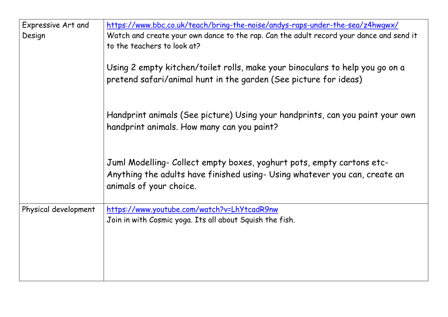| https://www.bbc.co.uk/teach/bring-the-noise/andys-raps-under-the-sea/z4hwgwx/                                                                                                  |
|--------------------------------------------------------------------------------------------------------------------------------------------------------------------------------|
| Watch and create your own dance to the rap. Can the adult record your dance and send it<br>to the teachers to look at?                                                         |
| Using 2 empty kitchen/toilet rolls, make your binoculars to help you go on a<br>pretend safari/animal hunt in the garden (See picture for ideas)                               |
| Handprint animals (See picture) Using your handprints, can you paint your own<br>handprint animals. How many can you paint?                                                    |
| Juml Modelling- Collect empty boxes, yoghurt pots, empty cartons etc-<br>Anything the adults have finished using- Using whatever you can, create an<br>animals of your choice. |
| https://www.youtube.com/watch?v=LhYtcadR9nw<br>Join in with Cosmic yoga. Its all about Squish the fish.                                                                        |
|                                                                                                                                                                                |